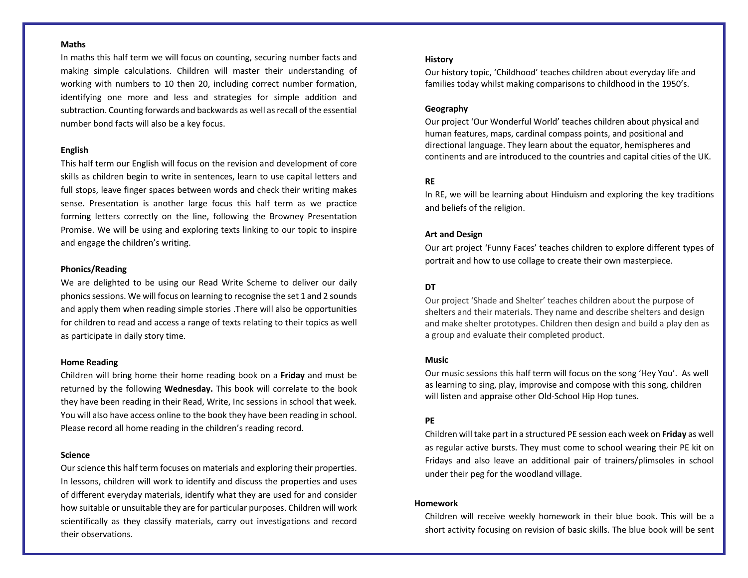### **Maths**

In maths this half term we will focus on counting, securing number facts and making simple calculations. Children will master their understanding of working with numbers to 10 then 20, including correct number formation, identifying one more and less and strategies for simple addition and subtraction. Counting forwards and backwards as well as recall of the essential number bond facts will also be a key focus.

#### **English**

This half term our English will focus on the revision and development of core skills as children begin to write in sentences, learn to use capital letters and full stops, leave finger spaces between words and check their writing makes sense. Presentation is another large focus this half term as we practice forming letters correctly on the line, following the Browney Presentation Promise. We will be using and exploring texts linking to our topic to inspire and engage the children's writing.

#### **Phonics/Reading**

We are delighted to be using our Read Write Scheme to deliver our daily phonics sessions. We will focus on learning to recognise the set 1 and 2 sounds and apply them when reading simple stories .There will also be opportunities for children to read and access a range of texts relating to their topics as well as participate in daily story time.

#### **Home Reading**

Children will bring home their home reading book on a **Friday** and must be returned by the following **Wednesday.** This book will correlate to the book they have been reading in their Read, Write, Inc sessions in school that week. You will also have access online to the book they have been reading in school. Please record all home reading in the children's reading record.

### **Science**

Our science this half term focuses on materials and exploring their properties. In lessons, children will work to identify and discuss the properties and uses of different everyday materials, identify what they are used for and consider how suitable or unsuitable they are for particular purposes. Children will work scientifically as they classify materials, carry out investigations and record their observations.

#### **History**

Our history topic, 'Childhood' teaches children about everyday life and families today whilst making comparisons to childhood in the 1950's.

### **Geography**

Our project 'Our Wonderful World' teaches children about physical and human features, maps, cardinal compass points, and positional and directional language. They learn about the equator, hemispheres and continents and are introduced to the countries and capital cities of the UK.

## **RE**

In RE, we will be learning about Hinduism and exploring the key traditions and beliefs of the religion.

## **Art and Design**

Our art project 'Funny Faces' teaches children to explore different types of portrait and how to use collage to create their own masterpiece.

## **DT**

Our project 'Shade and Shelter' teaches children about the purpose of shelters and their materials. They name and describe shelters and design and make shelter prototypes. Children then design and build a play den as a group and evaluate their completed product.

## **Music**

Our music sessions this half term will focus on the song 'Hey You'. As well as learning to sing, play, improvise and compose with this song, children will listen and appraise other Old-School Hip Hop tunes.

## **PE**

Children will take part in a structured PE session each week on **Friday** as well as regular active bursts. They must come to school wearing their PE kit on Fridays and also leave an additional pair of trainers/plimsoles in school under their peg for the woodland village.

## **Homework**

Children will receive weekly homework in their blue book. This will be a short activity focusing on revision of basic skills. The blue book will be sent